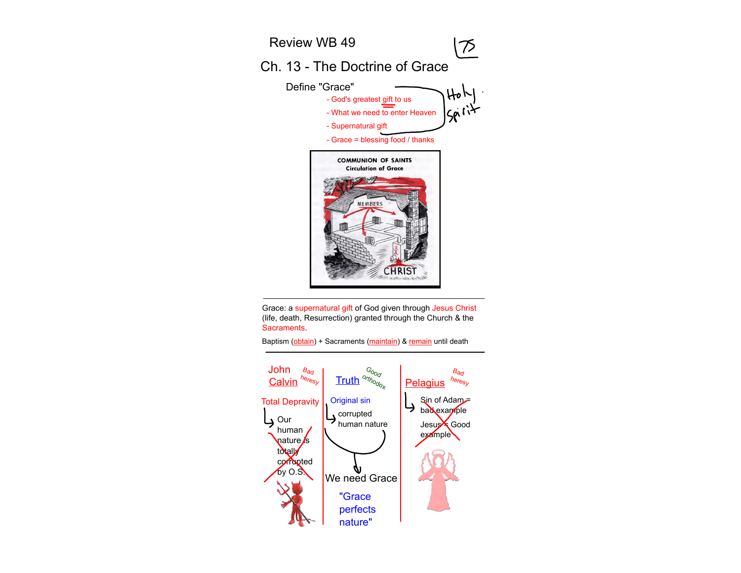

Grace: a supernatural gift of God given through Jesus Christ (life, death, Resurrection) granted through the Church & the Sacraments.

John **Bad**  $B_{\theta d}$ Good Calvin<sup>heresy</sup> heresy $\text{Calvin}^{\textit{h}_{\text{e}_{\textit{reg}}}}$  Truth  $\textit{h}_{\textit{op}_{\textit{reg}}}$  Pelagius Total Depravity Original sin Sin of Adam り bad example corrupted **L** Our Jesus Good human nature human example  $\sqrt{a}$ nature $\sqrt{s}$ totally corrupted by O.S. We need Grace "Grace perfects nature"

Baptism (obtain) + Sacraments (maintain) & remain until death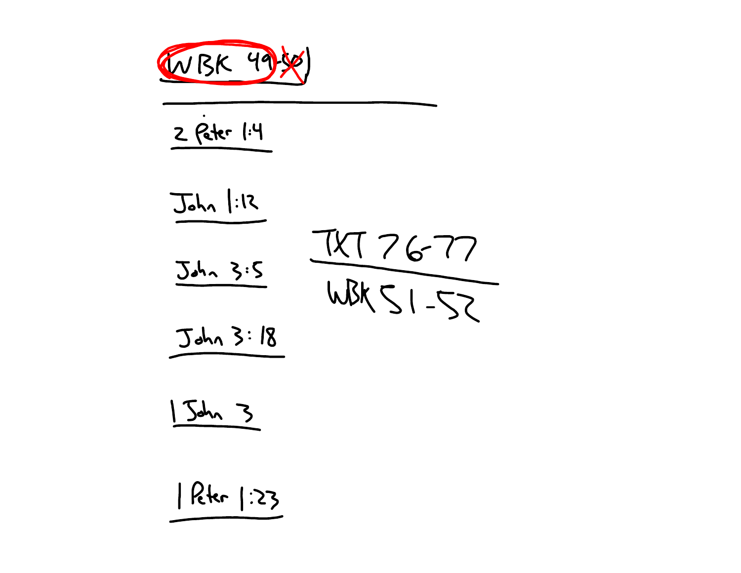

2 Peter 1:4

 $J_{ohn}$  |:12  $\frac{74726-77}{WBr51-52}$  $Jah2 3.5$  $Jdh23:18$ 

 $54/3$ 

Rter 1:23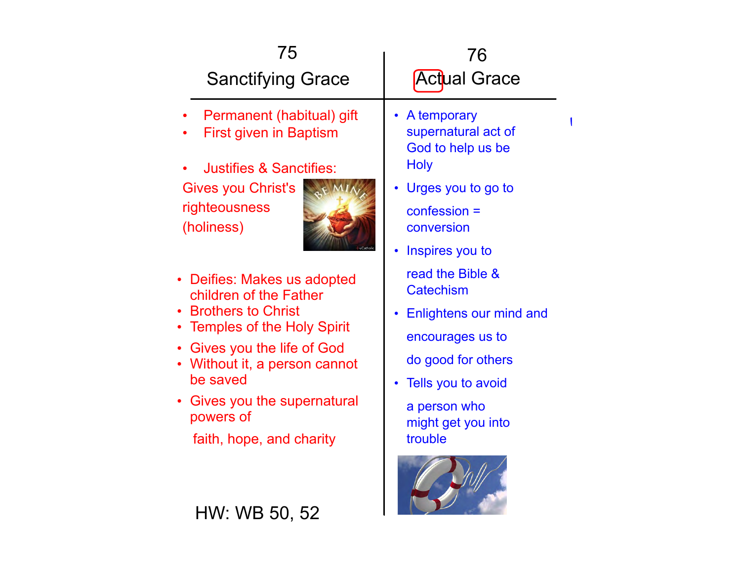| 75<br><b>Sanctifying Grace</b>                                                                                                                                                                                                                                   | 76<br><b>Actual Grace</b>                                                                                                                                                          |  |
|------------------------------------------------------------------------------------------------------------------------------------------------------------------------------------------------------------------------------------------------------------------|------------------------------------------------------------------------------------------------------------------------------------------------------------------------------------|--|
| Permanent (habitual) gift<br><b>First given in Baptism</b><br><b>Justifies &amp; Sanctifies:</b><br>Gives you Christ's<br>righteousness<br>(holiness)                                                                                                            | • A temporary<br>supernatural act of<br>God to help us be<br><b>Holy</b><br>• Urges you to go to<br>$confession =$<br>conversion<br>• Inspires you to                              |  |
| • Deifies: Makes us adopted<br>children of the Father<br>• Brothers to Christ<br>• Temples of the Holy Spirit<br>• Gives you the life of God<br>• Without it, a person cannot<br>be saved<br>Gives you the supernatural<br>powers of<br>faith, hope, and charity | read the Bible &<br><b>Catechism</b><br>• Enlightens our mind and<br>encourages us to<br>do good for others<br>Tells you to avoid<br>a person who<br>might get you into<br>trouble |  |
| HW: WB 50, 52                                                                                                                                                                                                                                                    |                                                                                                                                                                                    |  |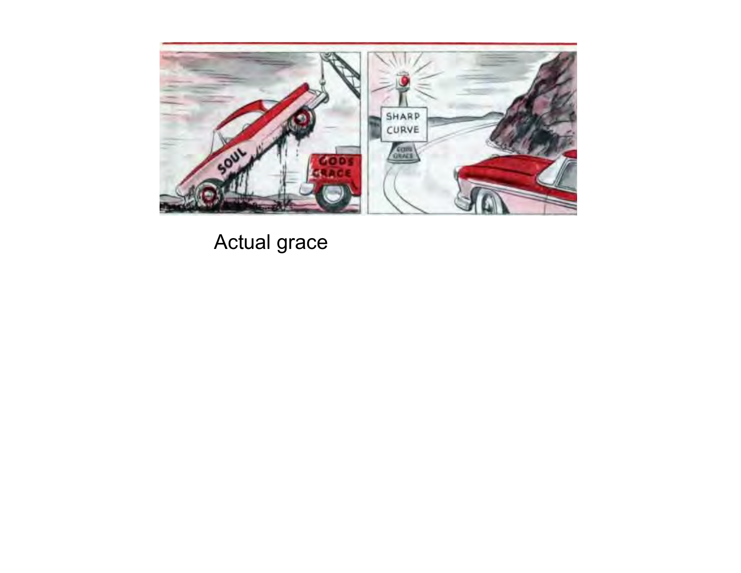

Actual grace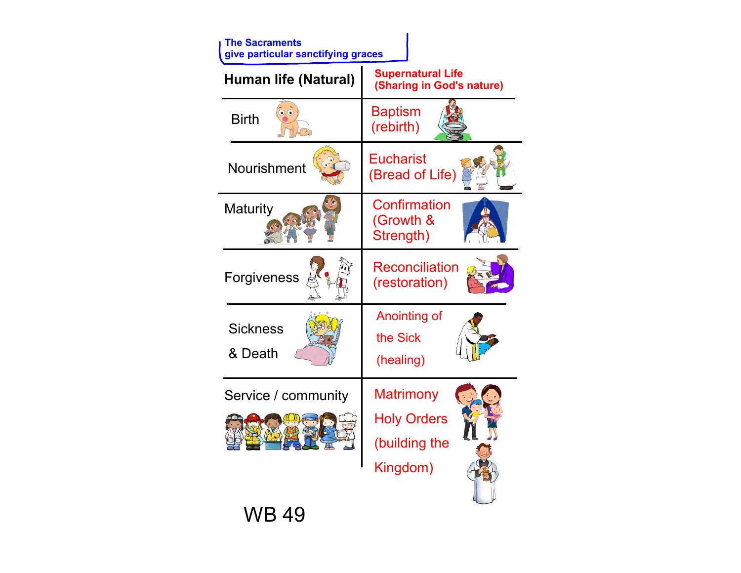| <b>The Sacraments</b><br>give particular sanctifying graces |                                                                     |
|-------------------------------------------------------------|---------------------------------------------------------------------|
| Human life (Natural)                                        | <b>Supernatural Life</b><br>(Sharing in God's nature)               |
| <b>Birth</b>                                                | <b>Baptism</b><br>(rebirth)                                         |
| <b>Nourishment</b>                                          | Eucharist<br>(Bread of Life)                                        |
| <b>Maturity</b>                                             | Confirmation<br>(Growth &<br>Strength)                              |
| Forgiveness                                                 | <b>Reconciliation</b><br>(restoration)                              |
| <b>Sickness</b><br>& Death                                  | Anointing of<br>the Sick<br>(healing)                               |
| Service / community                                         | <b>Matrimony</b><br><b>Holy Orders</b><br>(building the<br>Kingdom) |
| WB 49                                                       |                                                                     |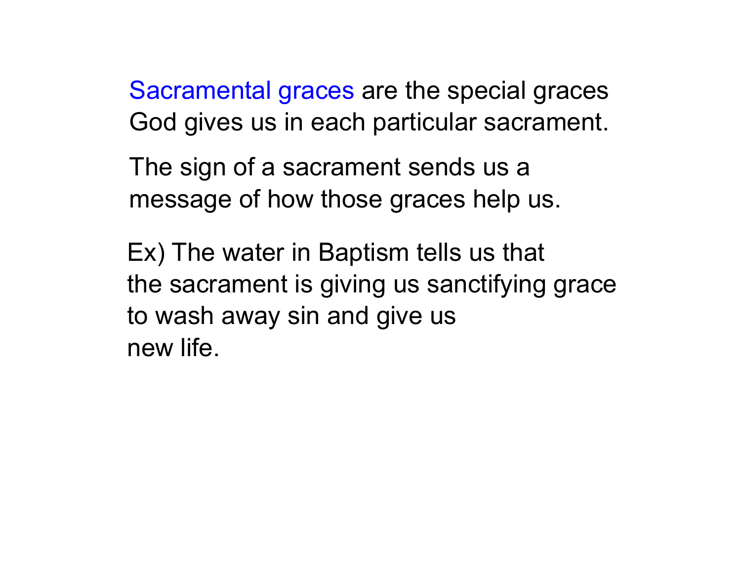Sacramental graces are the special graces God gives us in each particular sacrament.

The sign of a sacrament sends us a message of how those graces help us.

Ex) The water in Baptism tells us that the sacrament is giving us sanctifying grace to wash away sin and give us new life.